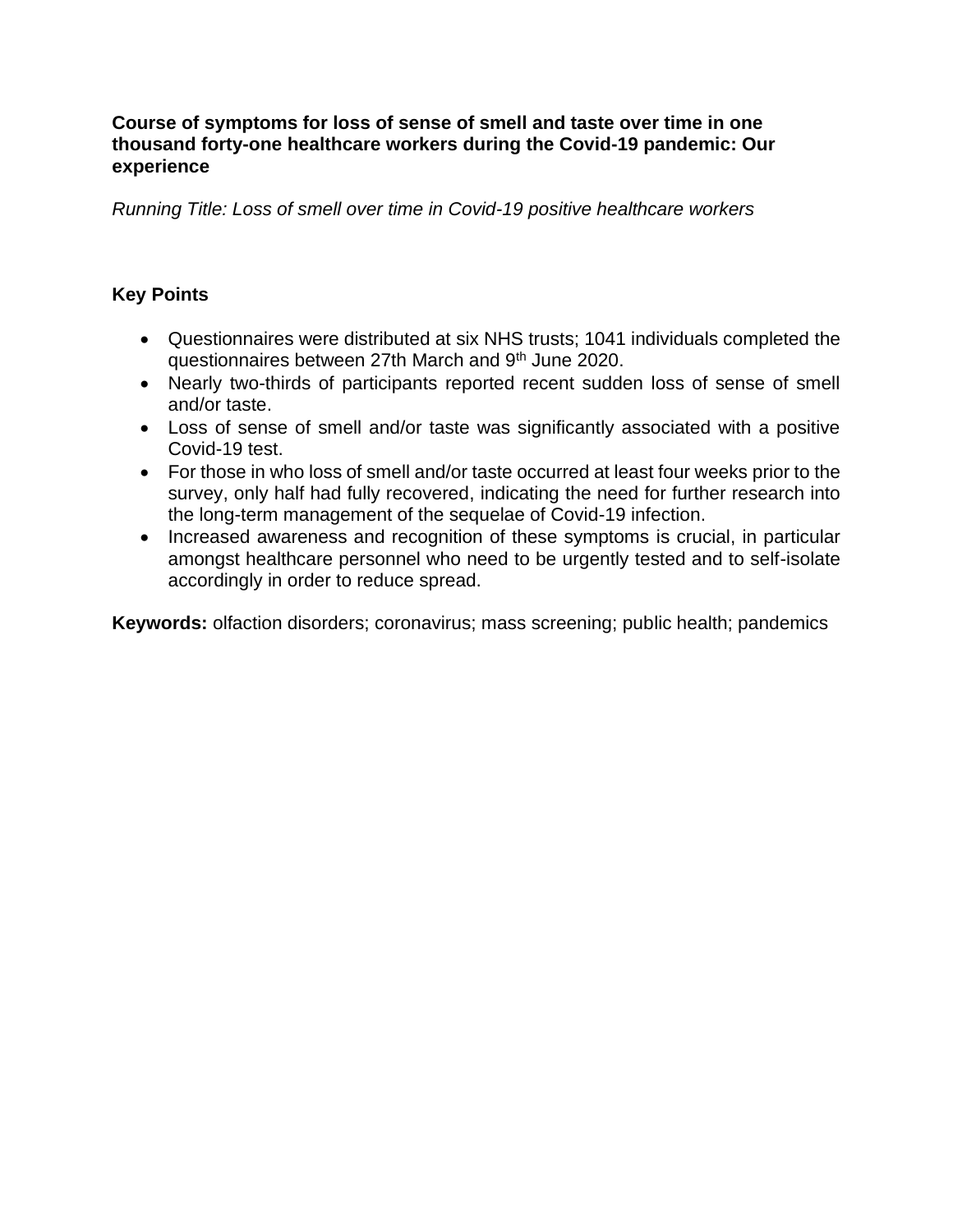## **Course of symptoms for loss of sense of smell and taste over time in one thousand forty-one healthcare workers during the Covid-19 pandemic: Our experience**

*Running Title: Loss of smell over time in Covid-19 positive healthcare workers* 

# **Key Points**

- Questionnaires were distributed at six NHS trusts; 1041 individuals completed the questionnaires between 27th March and 9<sup>th</sup> June 2020.
- Nearly two-thirds of participants reported recent sudden loss of sense of smell and/or taste.
- Loss of sense of smell and/or taste was significantly associated with a positive Covid-19 test.
- For those in who loss of smell and/or taste occurred at least four weeks prior to the survey, only half had fully recovered, indicating the need for further research into the long-term management of the sequelae of Covid-19 infection.
- Increased awareness and recognition of these symptoms is crucial, in particular amongst healthcare personnel who need to be urgently tested and to self-isolate accordingly in order to reduce spread.

**Keywords:** olfaction disorders; coronavirus; mass screening; public health; pandemics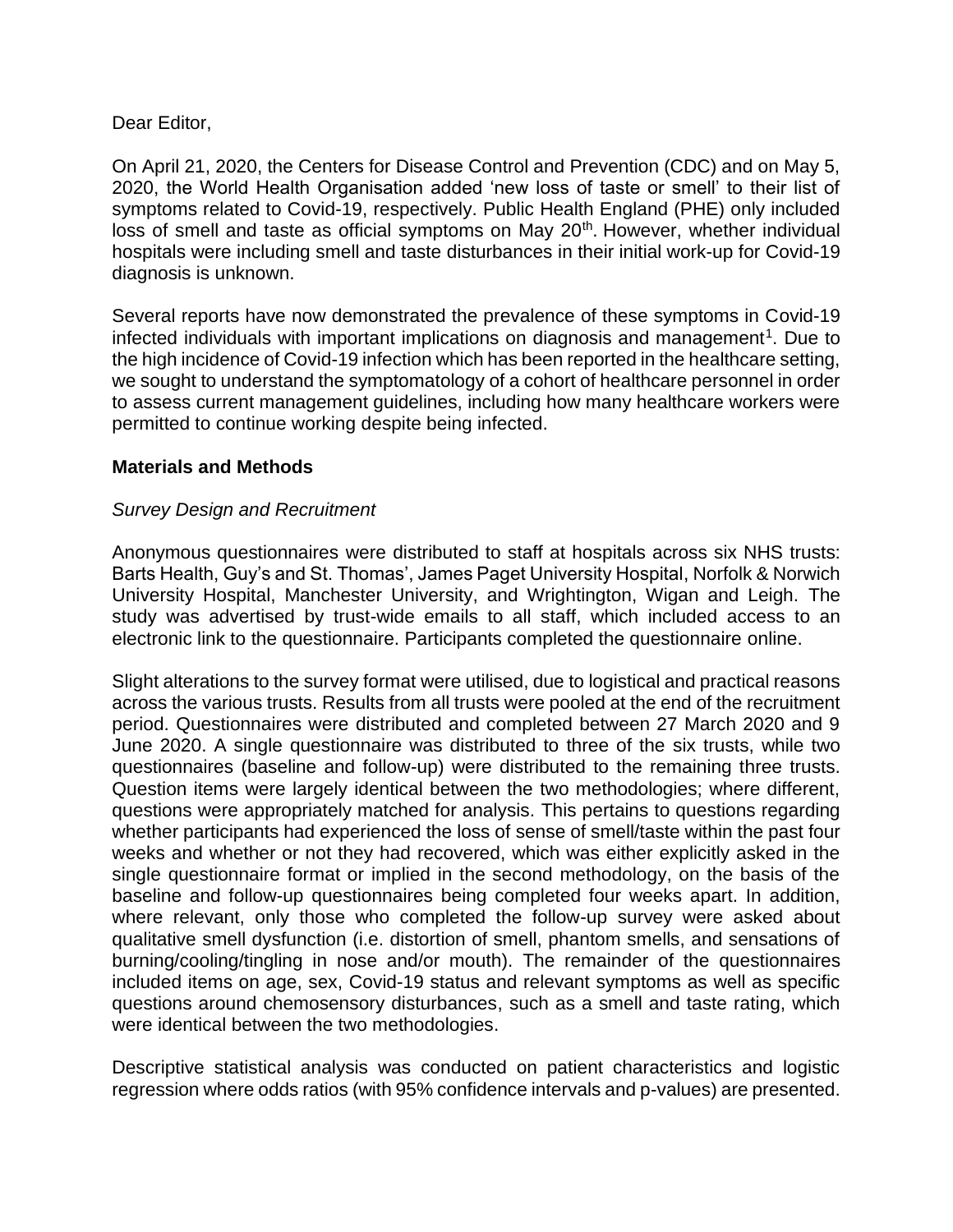Dear Editor,

On April 21, 2020, the Centers for Disease Control and Prevention (CDC) and on May 5, 2020, the World Health Organisation added 'new loss of taste or smell' to their list of symptoms related to Covid-19, respectively. Public Health England (PHE) only included loss of smell and taste as official symptoms on May 20<sup>th</sup>. However, whether individual hospitals were including smell and taste disturbances in their initial work-up for Covid-19 diagnosis is unknown.

Several reports have now demonstrated the prevalence of these symptoms in Covid-19 infected individuals with important implications on diagnosis and management<sup>1</sup>. Due to the high incidence of Covid-19 infection which has been reported in the healthcare setting, we sought to understand the symptomatology of a cohort of healthcare personnel in order to assess current management guidelines, including how many healthcare workers were permitted to continue working despite being infected.

## **Materials and Methods**

### *Survey Design and Recruitment*

Anonymous questionnaires were distributed to staff at hospitals across six NHS trusts: Barts Health, Guy's and St. Thomas', James Paget University Hospital, Norfolk & Norwich University Hospital, Manchester University, and Wrightington, Wigan and Leigh. The study was advertised by trust-wide emails to all staff, which included access to an electronic link to the questionnaire. Participants completed the questionnaire online.

Slight alterations to the survey format were utilised, due to logistical and practical reasons across the various trusts. Results from all trusts were pooled at the end of the recruitment period. Questionnaires were distributed and completed between 27 March 2020 and 9 June 2020. A single questionnaire was distributed to three of the six trusts, while two questionnaires (baseline and follow-up) were distributed to the remaining three trusts. Question items were largely identical between the two methodologies; where different, questions were appropriately matched for analysis. This pertains to questions regarding whether participants had experienced the loss of sense of smell/taste within the past four weeks and whether or not they had recovered, which was either explicitly asked in the single questionnaire format or implied in the second methodology, on the basis of the baseline and follow-up questionnaires being completed four weeks apart. In addition, where relevant, only those who completed the follow-up survey were asked about qualitative smell dysfunction (i.e. distortion of smell, phantom smells, and sensations of burning/cooling/tingling in nose and/or mouth). The remainder of the questionnaires included items on age, sex, Covid-19 status and relevant symptoms as well as specific questions around chemosensory disturbances, such as a smell and taste rating, which were identical between the two methodologies.

Descriptive statistical analysis was conducted on patient characteristics and logistic regression where odds ratios (with 95% confidence intervals and p-values) are presented.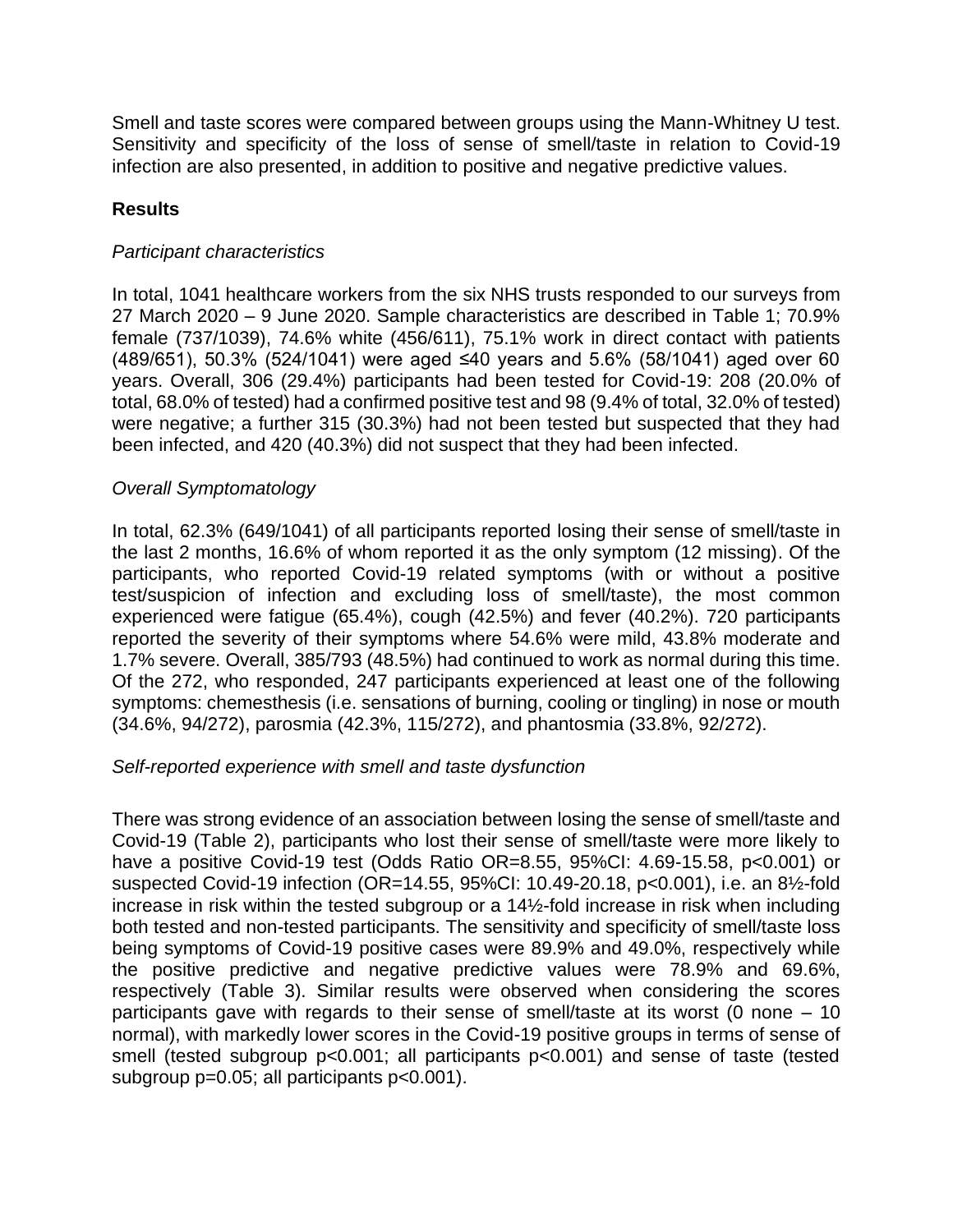Smell and taste scores were compared between groups using the Mann-Whitney U test. Sensitivity and specificity of the loss of sense of smell/taste in relation to Covid-19 infection are also presented, in addition to positive and negative predictive values.

## **Results**

### *Participant characteristics*

In total, 1041 healthcare workers from the six NHS trusts responded to our surveys from 27 March 2020 – 9 June 2020. Sample characteristics are described in Table 1; 70.9% female (737/1039), 74.6% white (456/611), 75.1% work in direct contact with patients (489/651), 50.3% (524/1041) were aged ≤40 years and 5.6% (58/1041) aged over 60 years. Overall, 306 (29.4%) participants had been tested for Covid-19: 208 (20.0% of total, 68.0% of tested) had a confirmed positive test and 98 (9.4% of total, 32.0% of tested) were negative; a further 315 (30.3%) had not been tested but suspected that they had been infected, and 420 (40.3%) did not suspect that they had been infected.

### *Overall Symptomatology*

In total, 62.3% (649/1041) of all participants reported losing their sense of smell/taste in the last 2 months, 16.6% of whom reported it as the only symptom (12 missing). Of the participants, who reported Covid-19 related symptoms (with or without a positive test/suspicion of infection and excluding loss of smell/taste), the most common experienced were fatigue (65.4%), cough (42.5%) and fever (40.2%). 720 participants reported the severity of their symptoms where 54.6% were mild, 43.8% moderate and 1.7% severe. Overall, 385/793 (48.5%) had continued to work as normal during this time. Of the 272, who responded, 247 participants experienced at least one of the following symptoms: chemesthesis (i.e. sensations of burning, cooling or tingling) in nose or mouth (34.6%, 94/272), parosmia (42.3%, 115/272), and phantosmia (33.8%, 92/272).

#### *Self-reported experience with smell and taste dysfunction*

There was strong evidence of an association between losing the sense of smell/taste and Covid-19 (Table 2), participants who lost their sense of smell/taste were more likely to have a positive Covid-19 test (Odds Ratio OR=8.55, 95%CI: 4.69-15.58, p<0.001) or suspected Covid-19 infection (OR=14.55, 95%CI: 10.49-20.18, p<0.001), i.e. an 8½-fold increase in risk within the tested subgroup or a 14½-fold increase in risk when including both tested and non-tested participants. The sensitivity and specificity of smell/taste loss being symptoms of Covid-19 positive cases were 89.9% and 49.0%, respectively while the positive predictive and negative predictive values were 78.9% and 69.6%, respectively (Table 3). Similar results were observed when considering the scores participants gave with regards to their sense of smell/taste at its worst (0 none – 10 normal), with markedly lower scores in the Covid-19 positive groups in terms of sense of smell (tested subgroup p<0.001; all participants p<0.001) and sense of taste (tested subgroup p=0.05; all participants p<0.001).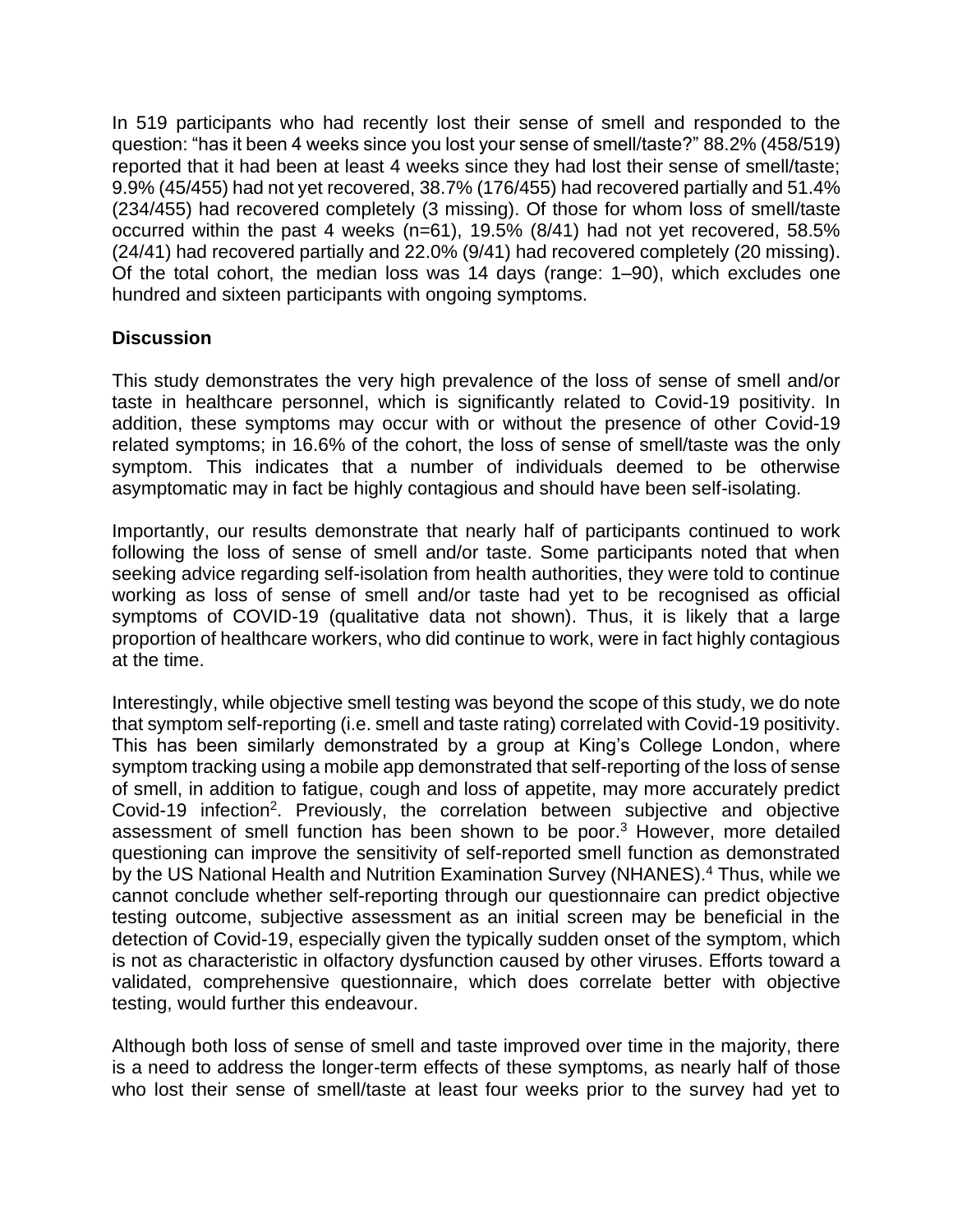In 519 participants who had recently lost their sense of smell and responded to the question: "has it been 4 weeks since you lost your sense of smell/taste?" 88.2% (458/519) reported that it had been at least 4 weeks since they had lost their sense of smell/taste; 9.9% (45/455) had not yet recovered, 38.7% (176/455) had recovered partially and 51.4% (234/455) had recovered completely (3 missing). Of those for whom loss of smell/taste occurred within the past 4 weeks (n=61), 19.5% (8/41) had not yet recovered, 58.5% (24/41) had recovered partially and 22.0% (9/41) had recovered completely (20 missing). Of the total cohort, the median loss was 14 days (range: 1–90), which excludes one hundred and sixteen participants with ongoing symptoms.

## **Discussion**

This study demonstrates the very high prevalence of the loss of sense of smell and/or taste in healthcare personnel, which is significantly related to Covid-19 positivity. In addition, these symptoms may occur with or without the presence of other Covid-19 related symptoms; in 16.6% of the cohort, the loss of sense of smell/taste was the only symptom. This indicates that a number of individuals deemed to be otherwise asymptomatic may in fact be highly contagious and should have been self-isolating.

Importantly, our results demonstrate that nearly half of participants continued to work following the loss of sense of smell and/or taste. Some participants noted that when seeking advice regarding self-isolation from health authorities, they were told to continue working as loss of sense of smell and/or taste had yet to be recognised as official symptoms of COVID-19 (qualitative data not shown). Thus, it is likely that a large proportion of healthcare workers, who did continue to work, were in fact highly contagious at the time.

Interestingly, while objective smell testing was beyond the scope of this study, we do note that symptom self-reporting (i.e. smell and taste rating) correlated with Covid-19 positivity. This has been similarly demonstrated by a group at King's College London, where symptom tracking using a mobile app demonstrated that self-reporting of the loss of sense of smell, in addition to fatigue, cough and loss of appetite, may more accurately predict Covid-19 infection<sup>2</sup>. Previously, the correlation between subjective and objective assessment of smell function has been shown to be poor.<sup>3</sup> However, more detailed questioning can improve the sensitivity of self-reported smell function as demonstrated by the US National Health and Nutrition Examination Survey (NHANES). <sup>4</sup> Thus, while we cannot conclude whether self-reporting through our questionnaire can predict objective testing outcome, subjective assessment as an initial screen may be beneficial in the detection of Covid-19, especially given the typically sudden onset of the symptom, which is not as characteristic in olfactory dysfunction caused by other viruses. Efforts toward a validated, comprehensive questionnaire, which does correlate better with objective testing, would further this endeavour.

Although both loss of sense of smell and taste improved over time in the majority, there is a need to address the longer-term effects of these symptoms, as nearly half of those who lost their sense of smell/taste at least four weeks prior to the survey had yet to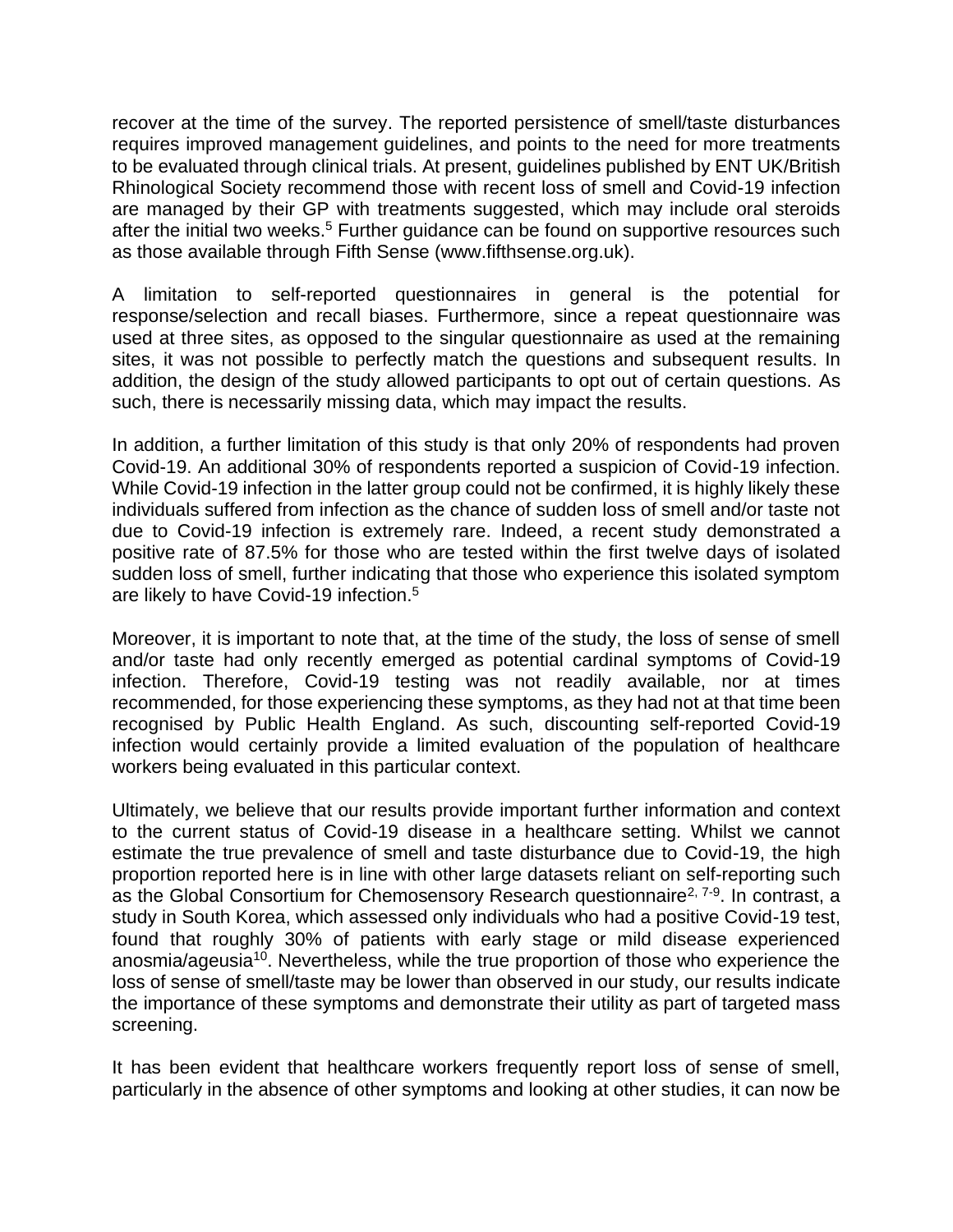recover at the time of the survey. The reported persistence of smell/taste disturbances requires improved management guidelines, and points to the need for more treatments to be evaluated through clinical trials. At present, guidelines published by ENT UK/British Rhinological Society recommend those with recent loss of smell and Covid-19 infection are managed by their GP with treatments suggested, which may include oral steroids after the initial two weeks.<sup>5</sup> Further guidance can be found on supportive resources such as those available through Fifth Sense (www.fifthsense.org.uk).

A limitation to self-reported questionnaires in general is the potential for response/selection and recall biases. Furthermore, since a repeat questionnaire was used at three sites, as opposed to the singular questionnaire as used at the remaining sites, it was not possible to perfectly match the questions and subsequent results. In addition, the design of the study allowed participants to opt out of certain questions. As such, there is necessarily missing data, which may impact the results.

In addition, a further limitation of this study is that only 20% of respondents had proven Covid-19. An additional 30% of respondents reported a suspicion of Covid-19 infection. While Covid-19 infection in the latter group could not be confirmed, it is highly likely these individuals suffered from infection as the chance of sudden loss of smell and/or taste not due to Covid-19 infection is extremely rare. Indeed, a recent study demonstrated a positive rate of 87.5% for those who are tested within the first twelve days of isolated sudden loss of smell, further indicating that those who experience this isolated symptom are likely to have Covid-19 infection. 5

Moreover, it is important to note that, at the time of the study, the loss of sense of smell and/or taste had only recently emerged as potential cardinal symptoms of Covid-19 infection. Therefore, Covid-19 testing was not readily available, nor at times recommended, for those experiencing these symptoms, as they had not at that time been recognised by Public Health England. As such, discounting self-reported Covid-19 infection would certainly provide a limited evaluation of the population of healthcare workers being evaluated in this particular context.

Ultimately, we believe that our results provide important further information and context to the current status of Covid-19 disease in a healthcare setting. Whilst we cannot estimate the true prevalence of smell and taste disturbance due to Covid-19, the high proportion reported here is in line with other large datasets reliant on self-reporting such as the Global Consortium for Chemosensory Research questionnaire<sup>2, 7-9</sup>. In contrast, a study in South Korea, which assessed only individuals who had a positive Covid-19 test, found that roughly 30% of patients with early stage or mild disease experienced anosmia/ageusia<sup>10</sup>. Nevertheless, while the true proportion of those who experience the loss of sense of smell/taste may be lower than observed in our study, our results indicate the importance of these symptoms and demonstrate their utility as part of targeted mass screening.

It has been evident that healthcare workers frequently report loss of sense of smell, particularly in the absence of other symptoms and looking at other studies, it can now be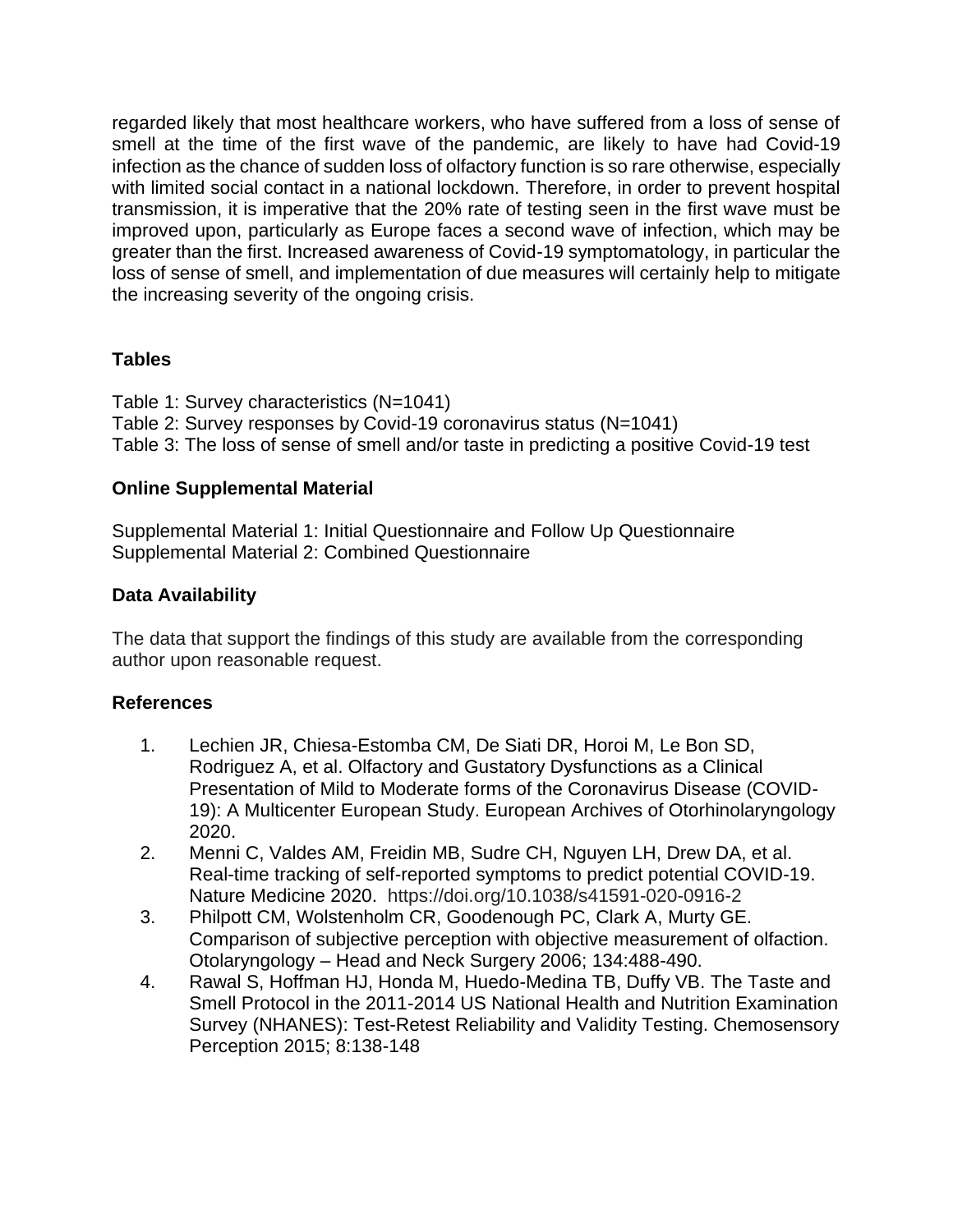regarded likely that most healthcare workers, who have suffered from a loss of sense of smell at the time of the first wave of the pandemic, are likely to have had Covid-19 infection as the chance of sudden loss of olfactory function is so rare otherwise, especially with limited social contact in a national lockdown. Therefore, in order to prevent hospital transmission, it is imperative that the 20% rate of testing seen in the first wave must be improved upon, particularly as Europe faces a second wave of infection, which may be greater than the first. Increased awareness of Covid-19 symptomatology, in particular the loss of sense of smell, and implementation of due measures will certainly help to mitigate the increasing severity of the ongoing crisis.

# **Tables**

Table 1: Survey characteristics (N=1041) Table 2: Survey responses by Covid-19 coronavirus status (N=1041) Table 3: The loss of sense of smell and/or taste in predicting a positive Covid-19 test

## **Online Supplemental Material**

Supplemental Material 1: Initial Questionnaire and Follow Up Questionnaire Supplemental Material 2: Combined Questionnaire

# **Data Availability**

The data that support the findings of this study are available from the corresponding author upon reasonable request.

## **References**

- 1. Lechien JR, Chiesa-Estomba CM, De Siati DR, Horoi M, Le Bon SD, Rodriguez A, et al. Olfactory and Gustatory Dysfunctions as a Clinical Presentation of Mild to Moderate forms of the Coronavirus Disease (COVID-19): A Multicenter European Study. European Archives of Otorhinolaryngology 2020.
- 2. Menni C, Valdes AM, Freidin MB, Sudre CH, Nguyen LH, Drew DA, et al. Real-time tracking of self-reported symptoms to predict potential COVID-19. Nature Medicine 2020. https://doi.org/10.1038/s41591-020-0916-2
- 3. Philpott CM, Wolstenholm CR, Goodenough PC, Clark A, Murty GE. Comparison of subjective perception with objective measurement of olfaction. Otolaryngology – Head and Neck Surgery 2006; 134:488-490.
- 4. Rawal S, Hoffman HJ, Honda M, Huedo-Medina TB, Duffy VB. The Taste and Smell Protocol in the 2011-2014 US National Health and Nutrition Examination Survey (NHANES): Test-Retest Reliability and Validity Testing. Chemosensory Perception 2015; 8:138-148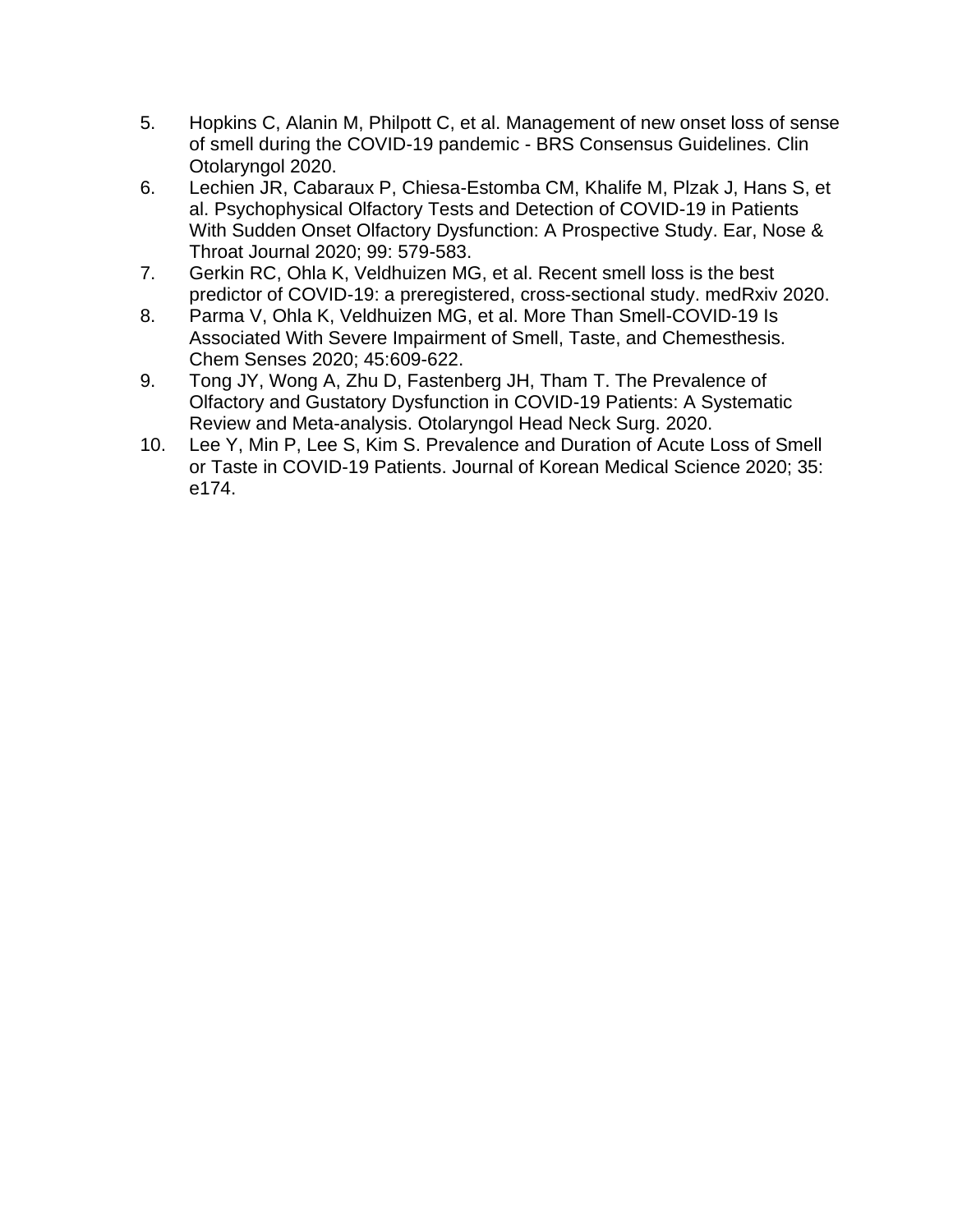- 5. Hopkins C, Alanin M, Philpott C, et al. Management of new onset loss of sense of smell during the COVID-19 pandemic - BRS Consensus Guidelines. Clin Otolaryngol 2020.
- 6. Lechien JR, Cabaraux P, Chiesa-Estomba CM, Khalife M, Plzak J, Hans S, et al. Psychophysical Olfactory Tests and Detection of COVID-19 in Patients With Sudden Onset Olfactory Dysfunction: A Prospective Study. Ear, Nose & Throat Journal 2020; 99: 579-583.
- 7. Gerkin RC, Ohla K, Veldhuizen MG, et al. Recent smell loss is the best predictor of COVID-19: a preregistered, cross-sectional study. medRxiv 2020.
- 8. Parma V, Ohla K, Veldhuizen MG, et al. More Than Smell-COVID-19 Is Associated With Severe Impairment of Smell, Taste, and Chemesthesis. Chem Senses 2020; 45:609-622.
- 9. Tong JY, Wong A, Zhu D, Fastenberg JH, Tham T. The Prevalence of Olfactory and Gustatory Dysfunction in COVID-19 Patients: A Systematic Review and Meta-analysis. Otolaryngol Head Neck Surg. 2020.
- 10. Lee Y, Min P, Lee S, Kim S. Prevalence and Duration of Acute Loss of Smell or Taste in COVID-19 Patients. Journal of Korean Medical Science 2020; 35: e174.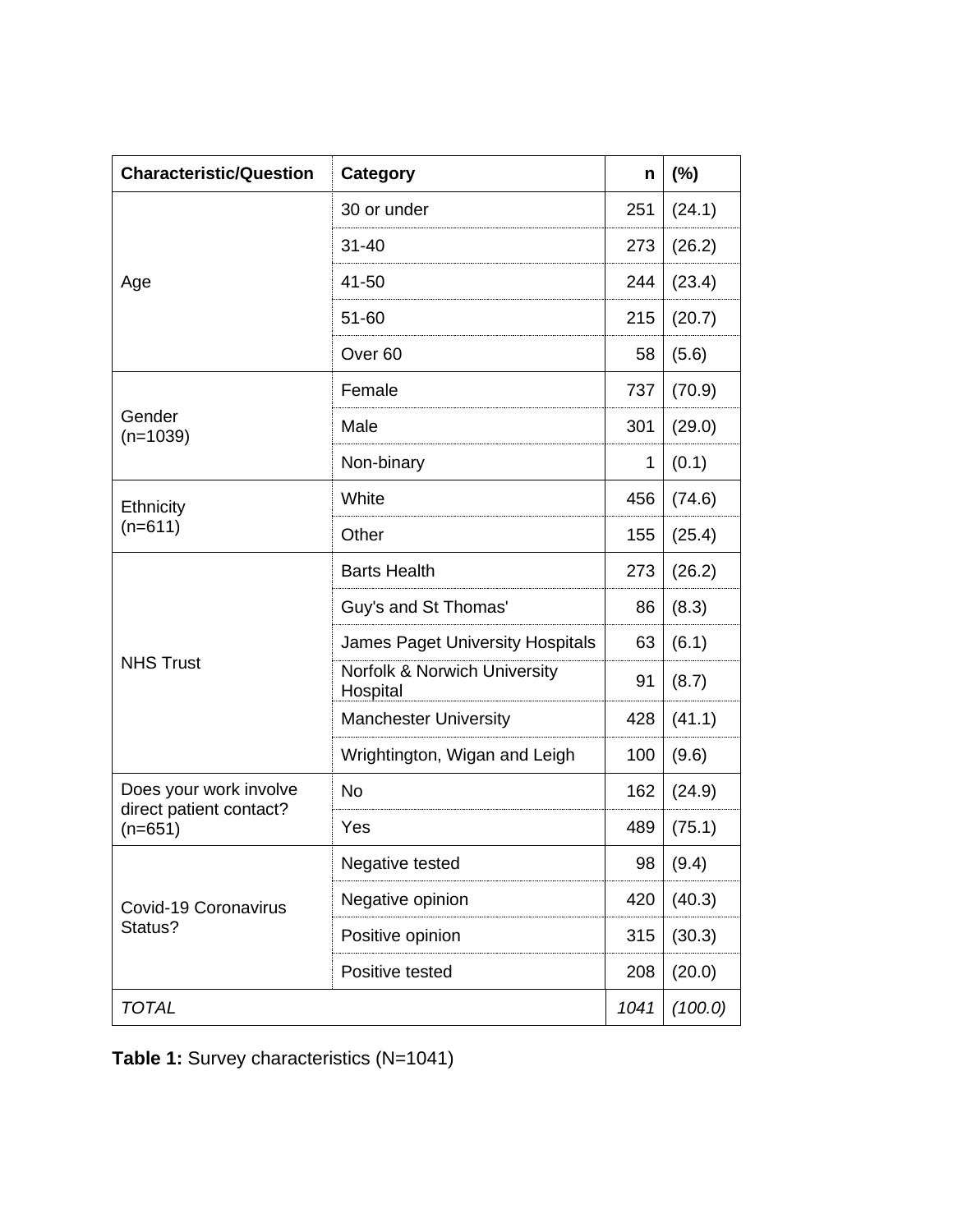| <b>Characteristic/Question</b>       | n                                        | (%)  |         |
|--------------------------------------|------------------------------------------|------|---------|
|                                      | 30 or under                              | 251  | (24.1)  |
|                                      | $31 - 40$                                | 273  | (26.2)  |
| Age                                  | 41-50                                    | 244  | (23.4)  |
|                                      | 51-60                                    | 215  | (20.7)  |
|                                      | Over <sub>60</sub>                       | 58   | (5.6)   |
|                                      | Female                                   | 737  | (70.9)  |
| Gender<br>$(n=1039)$                 | Male                                     | 301  | (29.0)  |
|                                      | Non-binary                               | 1    | (0.1)   |
| Ethnicity                            | White                                    | 456  | (74.6)  |
| $(n=611)$                            | Other                                    | 155  | (25.4)  |
| <b>NHS Trust</b>                     | <b>Barts Health</b>                      | 273  | (26.2)  |
|                                      | Guy's and St Thomas'                     | 86   | (8.3)   |
|                                      | <b>James Paget University Hospitals</b>  | 63   | (6.1)   |
|                                      | Norfolk & Norwich University<br>Hospital | 91   | (8.7)   |
|                                      | <b>Manchester University</b>             | 428  | (41.1)  |
|                                      | Wrightington, Wigan and Leigh            | 100  | (9.6)   |
| Does your work involve               | <b>No</b>                                | 162  | (24.9)  |
| direct patient contact?<br>$(n=651)$ | Yes                                      | 489  | (75.1)  |
|                                      | Negative tested                          | 98   | (9.4)   |
| Covid-19 Coronavirus<br>Status?      | Negative opinion                         | 420  | (40.3)  |
|                                      | Positive opinion                         | 315  | (30.3)  |
|                                      | Positive tested                          | 208  | (20.0)  |
| <b>TOTAL</b>                         |                                          | 1041 | (100.0) |

**Table 1:** Survey characteristics (N=1041)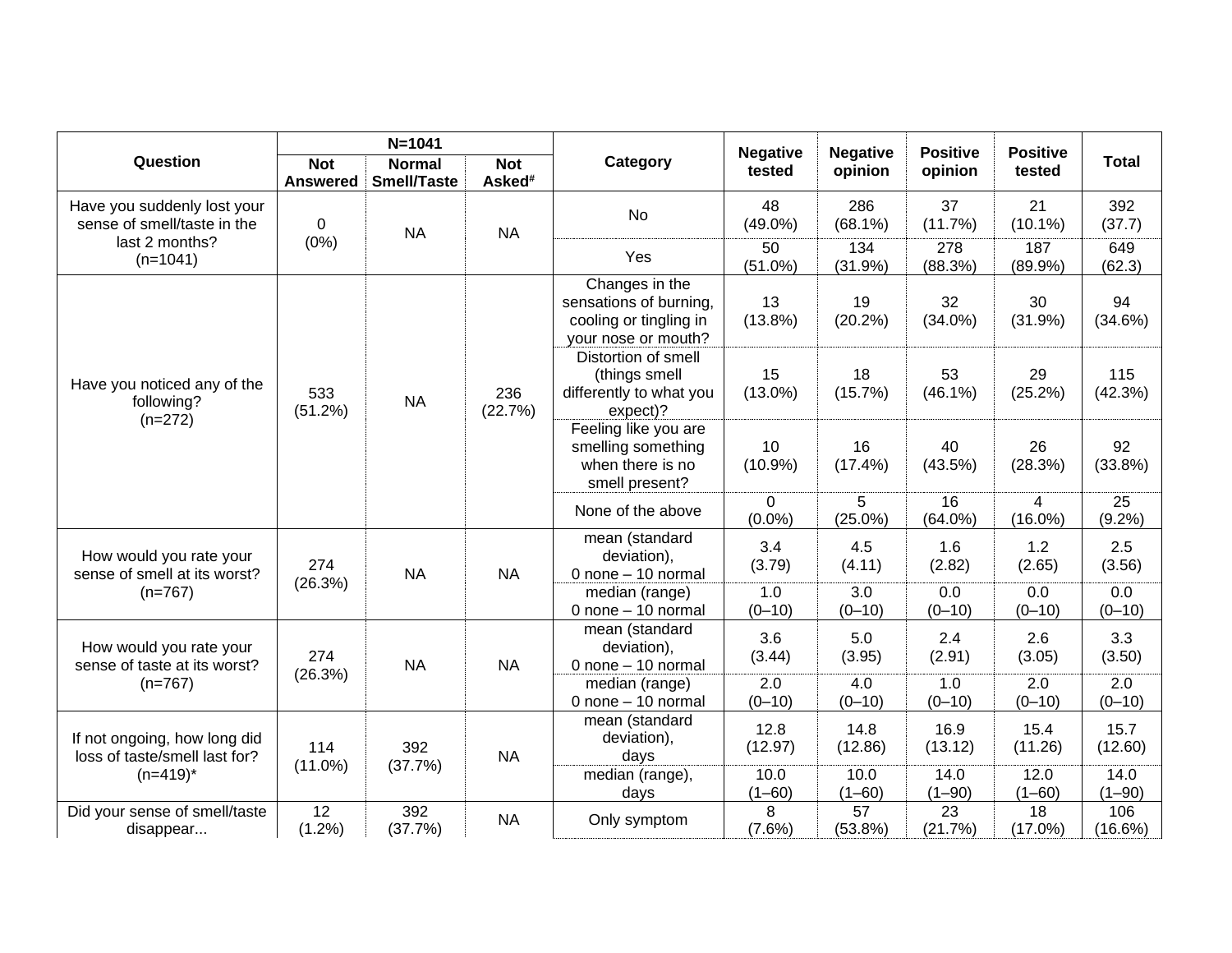|                                                                      | $N = 1041$                          |                                     |                                  | <b>Negative</b>                                                                           | <b>Negative</b>          | <b>Positive</b>    | <b>Positive</b>    |                    |                    |
|----------------------------------------------------------------------|-------------------------------------|-------------------------------------|----------------------------------|-------------------------------------------------------------------------------------------|--------------------------|--------------------|--------------------|--------------------|--------------------|
| Question                                                             | <b>Not</b><br><b>Answered</b>       | <b>Normal</b><br><b>Smell/Taste</b> | <b>Not</b><br>Asked <sup>#</sup> | Category                                                                                  | tested                   | opinion            | opinion            | tested             | <b>Total</b>       |
| Have you suddenly lost your<br>sense of smell/taste in the           | 0                                   | <b>NA</b>                           | <b>NA</b>                        | <b>No</b>                                                                                 | 48<br>$(49.0\%)$         | 286<br>$(68.1\%)$  | 37<br>(11.7%)      | 21<br>$(10.1\%)$   | 392<br>(37.7)      |
| last 2 months?<br>$(n=1041)$                                         | $(0\%)$                             |                                     |                                  | Yes                                                                                       | 50<br>$(51.0\%)$         | 134<br>(31.9%)     | 278<br>(88.3%)     | 187<br>$(89.9\%)$  | 649<br>(62.3)      |
|                                                                      |                                     |                                     |                                  | Changes in the<br>sensations of burning,<br>cooling or tingling in<br>your nose or mouth? | 13<br>$(13.8\%)$         | 19<br>$(20.2\%)$   | 32<br>$(34.0\%)$   | 30<br>$(31.9\%)$   | 94<br>(34.6%)      |
| Have you noticed any of the<br>following?<br>$(n=272)$               | 533<br>(51.2%)                      | <b>NA</b>                           | 236<br>(22.7%)                   | Distortion of smell<br>(things smell<br>differently to what you<br>expect)?               | 15<br>$(13.0\%)$         | 18<br>(15.7%)      | 53<br>$(46.1\%)$   | 29<br>(25.2%)      | 115<br>(42.3%)     |
|                                                                      |                                     |                                     |                                  | Feeling like you are<br>smelling something<br>when there is no<br>smell present?          | 10<br>$(10.9\%)$         | 16<br>$(17.4\%)$   | 40<br>(43.5%)      | 26<br>(28.3%)      | 92<br>$(33.8\%)$   |
|                                                                      |                                     |                                     |                                  | None of the above                                                                         | $\mathbf 0$<br>$(0.0\%)$ | 5<br>$(25.0\%)$    | 16<br>$(64.0\%)$   | 4<br>$(16.0\%)$    | 25<br>(9.2%)       |
| How would you rate your<br>sense of smell at its worst?              | 274                                 | <b>NA</b>                           | <b>NA</b>                        | mean (standard<br>deviation),<br>0 none - 10 normal                                       | 3.4<br>(3.79)            | 4.5<br>(4.11)      | 1.6<br>(2.82)      | 1.2<br>(2.65)      | 2.5<br>(3.56)      |
| $(n=767)$                                                            | (26.3%)                             |                                     |                                  | median (range)<br>0 none - 10 normal                                                      | 1.0<br>$(0 - 10)$        | 3.0<br>$(0 - 10)$  | 0.0<br>$(0 - 10)$  | 0.0<br>$(0 - 10)$  | 0.0<br>$(0 - 10)$  |
| How would you rate your<br>sense of taste at its worst?<br>$(n=767)$ | 274<br>(26.3%)                      | <b>NA</b>                           | <b>NA</b>                        | mean (standard<br>deviation),<br>0 none - 10 normal                                       | 3.6<br>(3.44)            | 5.0<br>(3.95)      | 2.4<br>(2.91)      | 2.6<br>(3.05)      | 3.3<br>(3.50)      |
|                                                                      |                                     |                                     |                                  | median (range)<br>0 none - 10 normal                                                      | 2.0<br>$(0 - 10)$        | 4.0<br>$(0 - 10)$  | 1.0<br>$(0 - 10)$  | 2.0<br>$(0 - 10)$  | 2.0<br>$(0 - 10)$  |
| If not ongoing, how long did<br>loss of taste/smell last for?        | 114<br>392<br>$(11.0\%)$<br>(37.7%) |                                     | <b>NA</b>                        | mean (standard<br>deviation),<br>days                                                     | 12.8<br>(12.97)          | 14.8<br>(12.86)    | 16.9<br>(13.12)    | 15.4<br>(11.26)    | 15.7<br>(12.60)    |
| $(n=419)^*$                                                          |                                     |                                     |                                  | median (range),<br>days                                                                   | 10.0<br>$(1 - 60)$       | 10.0<br>$(1 - 60)$ | 14.0<br>$(1 - 90)$ | 12.0<br>$(1 - 60)$ | 14.0<br>$(1 - 90)$ |
| Did your sense of smell/taste<br>disappear                           | 12<br>$(1.2\%)$                     | 392<br>(37.7%)                      | <b>NA</b>                        | Only symptom                                                                              | 8<br>$(7.6\%)$           | 57<br>(53.8%)      | 23<br>(21.7%)      | 18<br>$(17.0\%)$   | 106<br>$(16.6\%)$  |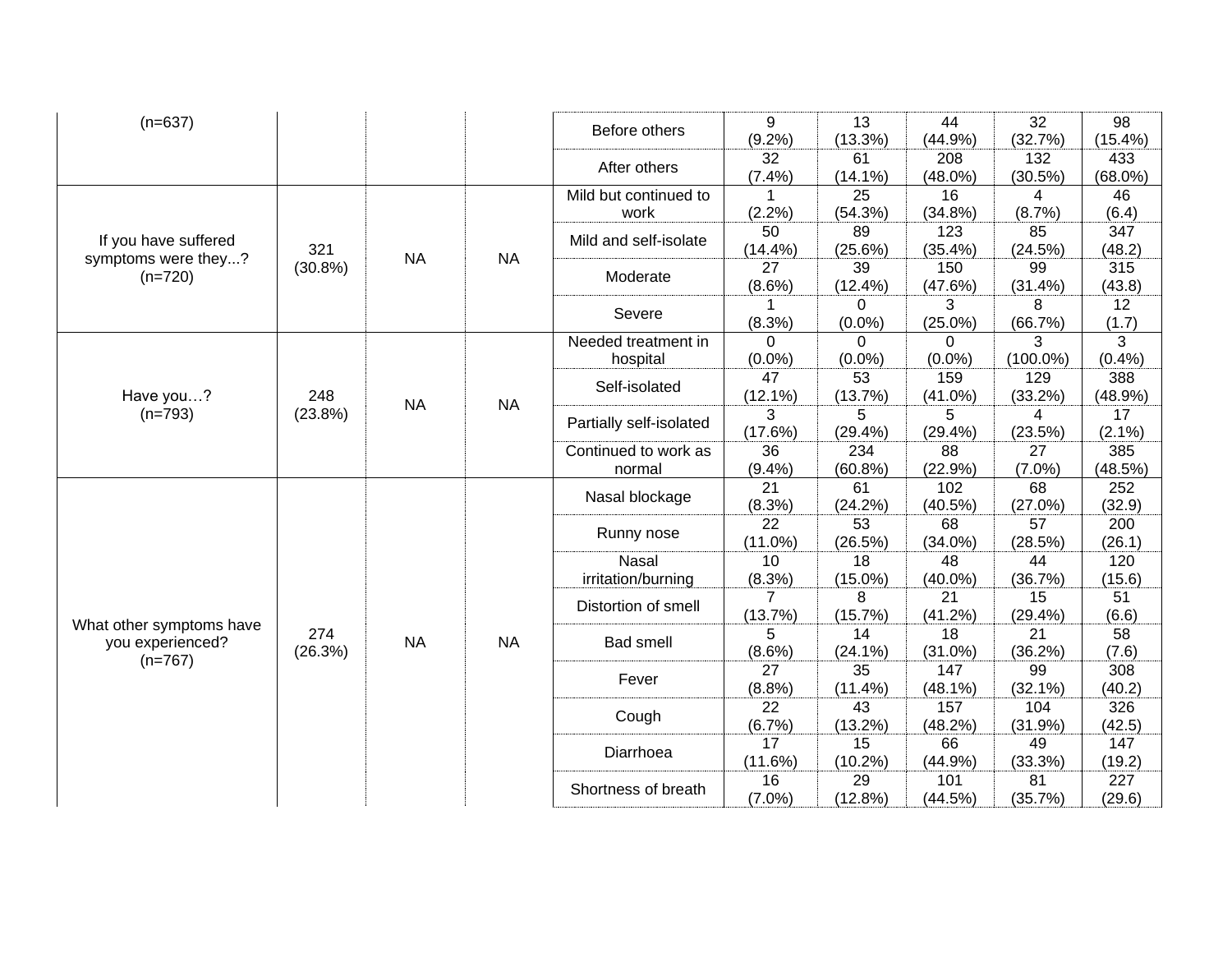| $(n=637)$                     |            |           | 9             | 13                      | 44                 | 32             | 98              |              |            |
|-------------------------------|------------|-----------|---------------|-------------------------|--------------------|----------------|-----------------|--------------|------------|
|                               |            |           | Before others |                         | $(9.2\%)$          | (13.3%)        | (44.9%)         | (32.7%)      | (15.4%)    |
|                               |            |           |               | After others            | 32                 | 61             | 208             | 132          | 433        |
|                               |            |           |               |                         | (7.4%)             | $(14.1\%)$     | $(48.0\%)$      | (30.5%)      | $(68.0\%)$ |
|                               |            |           |               | Mild but continued to   |                    | 25             | 16              | 4            | 46         |
|                               |            |           |               | work                    | (2.2%)             | (54.3%)        | (34.8%)         | (8.7%)       | (6.4)      |
| If you have suffered          |            |           |               | Mild and self-isolate   | 50                 | 89             | 123             | 85           | 347        |
| symptoms were they?           | 321        | <b>NA</b> | <b>NA</b>     |                         | (14.4%)            | (25.6%)        | (35.4%)         | (24.5%)      | (48.2)     |
| $(n=720)$                     | $(30.8\%)$ |           |               | Moderate                | 27                 | 39             | 150             | 99           | 315        |
|                               |            |           |               |                         | $(8.6\%)$          | (12.4%)        | (47.6%)         | (31.4%)      | (43.8)     |
|                               |            |           |               | Severe                  | 1                  | $\Omega$       | 3               | 8            | 12         |
|                               |            |           |               | Needed treatment in     | (8.3%)<br>$\Omega$ | $(0.0\%)$<br>0 | $(25.0\%)$<br>0 | (66.7%)<br>3 | (1.7)<br>3 |
|                               |            |           |               | hospital                | $(0.0\%)$          | $(0.0\%)$      | $(0.0\%)$       | $(100.0\%)$  | (0.4% )    |
|                               |            |           |               |                         | 47                 | 53             | 159             | 129          | 388        |
| Have you?                     | 248        |           |               | Self-isolated           | (12.1%)            | (13.7%)        | $(41.0\%)$      | (33.2%)      | (48.9%)    |
| $(n=793)$                     | $(23.8\%)$ | <b>NA</b> | <b>NA</b>     |                         | 3                  | 5              | 5               | 4            | 17         |
|                               |            |           |               | Partially self-isolated | (17.6%)            | $(29.4\%)$     | $(29.4\%)$      | (23.5%)      | $(2.1\%)$  |
|                               |            |           |               | Continued to work as    | 36                 | 234            | 88              | 27           | 385        |
|                               |            |           |               | normal                  | (9.4% )            | $(60.8\%)$     | (22.9%)         | $(7.0\%)$    | (48.5%)    |
|                               |            | <b>NA</b> |               |                         | 21                 | 61             | 102             | 68           | 252        |
|                               |            |           |               | Nasal blockage          | (8.3%)             | (24.2%)        | (40.5%)         | (27.0%)      | (32.9)     |
|                               |            |           |               |                         | 22                 | 53             | 68              | 57           | 200        |
|                               |            |           | <b>NA</b>     | Runny nose              | (11.0%)            | (26.5%)        | $(34.0\%)$      | (28.5%)      | (26.1)     |
|                               |            |           |               | Nasal                   | 10                 | 18             | 48              | 44           | 120        |
|                               |            |           |               | irritation/burning      | (8.3%)             | $(15.0\%)$     | $(40.0\%)$      | (36.7%)      | (15.6)     |
|                               |            |           |               | Distortion of smell     | 7                  | 8              | 21              | 15           | 51         |
| What other symptoms have      |            |           |               |                         | (13.7%)            | (15.7%)        | (41.2%)         | (29.4%)      | (6.6)      |
| you experienced?<br>$(n=767)$ | 274        |           |               | <b>Bad smell</b>        | 5                  | 14             | 18              | 21           | 58         |
|                               | (26.3%)    |           |               |                         | $(8.6\%)$          | $(24.1\%)$     | $(31.0\%)$      | (36.2%)      | (7.6)      |
|                               |            |           |               | Fever                   | 27                 | 35             | 147             | 99           | 308        |
|                               |            |           |               |                         | (8.8%)             | $(11.4\%)$     | (48.1%)         | $(32.1\%)$   | (40.2)     |
|                               |            |           |               | Cough                   | 22                 | 43             | 157             | 104          | 326        |
|                               |            |           |               |                         | (6.7%)             | $(13.2\%)$     | (48.2%)         | (31.9%)      | (42.5)     |
|                               |            |           |               | Diarrhoea               | 17                 | 15             | 66              | 49           | 147        |
|                               |            |           |               | Shortness of breath     | (11.6%)            | $(10.2\%)$     | (44.9%          | (33.3%)      | (19.2)     |
|                               |            |           |               |                         | 16                 | 29             | 101             | 81           | 227        |
|                               |            |           |               |                         | $(7.0\%)$          | (12.8%)        | (44.5%)         | (35.7%)      | (29.6)     |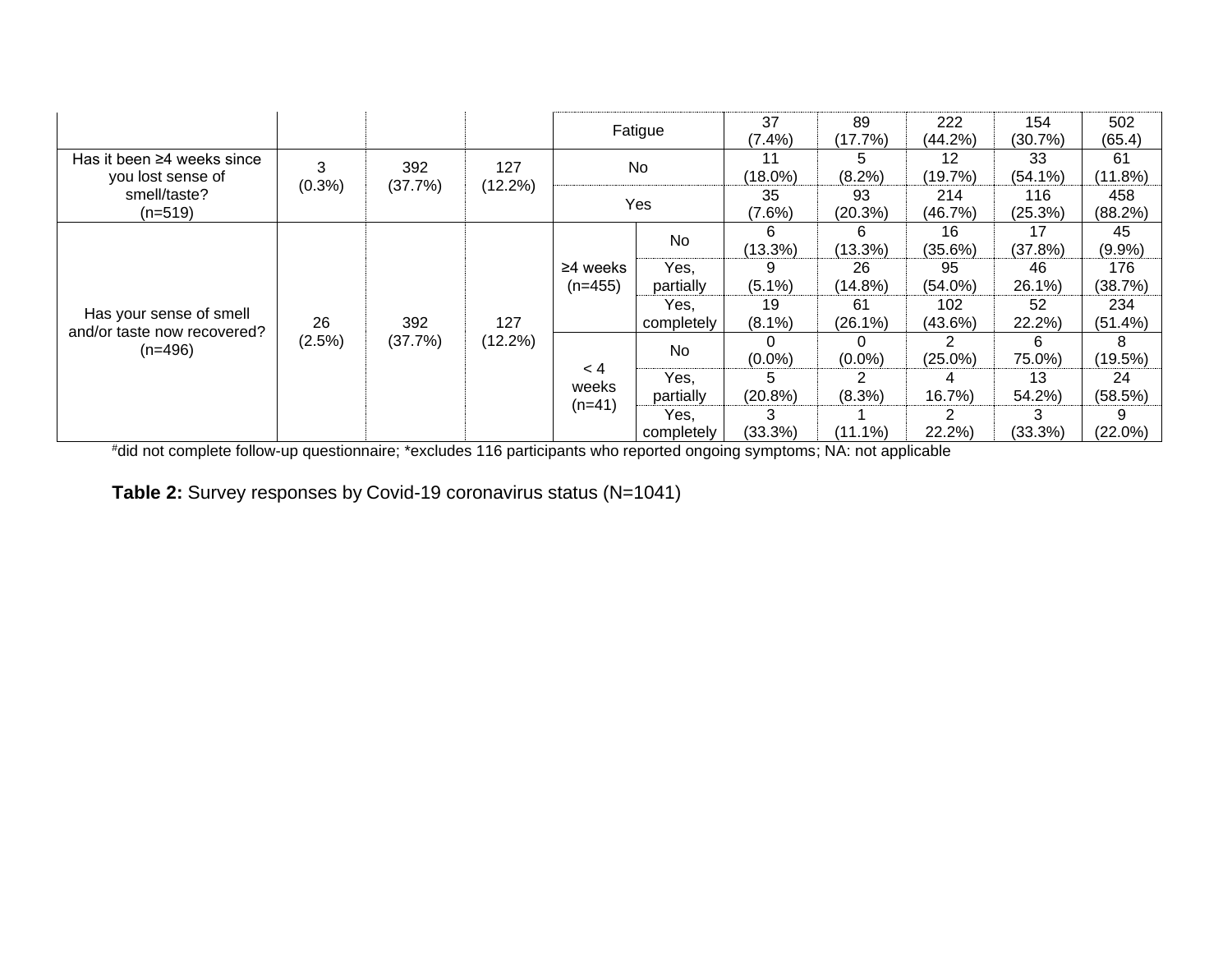| 5<br>12<br>33<br>61<br>11<br>Has it been $\geq 4$ weeks since<br>No<br>3<br>392<br>127<br>$(18.0\%)$<br>$(8.2\%)$<br>(19.7%)<br>$(54.1\%)$<br>you lost sense of<br>(0.3%)<br>$(12.2\%)$<br>(37.7%)<br>smell/taste?<br>35<br>93<br>116<br>214<br>Yes<br>$(n=519)$<br>(7.6%)<br>(46.7%)<br>(88.2%)<br>(20.3%)<br>(25.3%)<br>17<br>6<br>16<br>6<br>No<br>(13.3%)<br>(13.3%)<br>(37.8%)<br>(35.6%)<br>Yes,<br>26<br>95<br>46<br>176<br>≥4 weeks<br>9<br>$(5.1\%)$<br>$(n=455)$<br>$(14.8\%)$<br>$(54.0\%)$<br>26.1%<br>partially<br>102<br>19<br>61<br>52<br>Yes,<br>Has your sense of smell<br>26<br>$(8.1\%)$<br>127<br>$(26.1\%)$<br>(43.6%)<br>22.2%<br>392<br>completely<br>and/or taste now recovered?<br>(2.5%)<br>(37.7%)<br>$(12.2\%)$<br>8<br>2<br>6<br>0<br>0<br>$(n=496)$<br>No<br>$(0.0\%)$<br>$(0.0\%)$<br>$(25.0\%)$<br>75.0%)<br>$\lt 4$<br>Yes,<br>2<br>13<br>24<br>5<br>4<br>weeks<br>16.7%)<br>(20.8%)<br>$(8.3\%)$<br>54.2%)<br>partially |  |  |  |          | Fatigue | 37<br>(7.4%) | 89<br>(17.7%) | 222<br>(44.2%) | 154<br>(30.7%) | 502<br>(65.4)                         |
|-----------------------------------------------------------------------------------------------------------------------------------------------------------------------------------------------------------------------------------------------------------------------------------------------------------------------------------------------------------------------------------------------------------------------------------------------------------------------------------------------------------------------------------------------------------------------------------------------------------------------------------------------------------------------------------------------------------------------------------------------------------------------------------------------------------------------------------------------------------------------------------------------------------------------------------------------------------|--|--|--|----------|---------|--------------|---------------|----------------|----------------|---------------------------------------|
|                                                                                                                                                                                                                                                                                                                                                                                                                                                                                                                                                                                                                                                                                                                                                                                                                                                                                                                                                           |  |  |  |          |         |              |               |                |                | (11.8%)<br>458                        |
|                                                                                                                                                                                                                                                                                                                                                                                                                                                                                                                                                                                                                                                                                                                                                                                                                                                                                                                                                           |  |  |  |          |         |              |               |                |                | 45<br>(9.9%                           |
|                                                                                                                                                                                                                                                                                                                                                                                                                                                                                                                                                                                                                                                                                                                                                                                                                                                                                                                                                           |  |  |  |          |         |              |               |                |                | (38.7%)<br>234<br>$(51.4\%)$          |
| (33.3%)<br>$(11.1\%)$<br>22.2%)<br>(33.3%)<br>completely                                                                                                                                                                                                                                                                                                                                                                                                                                                                                                                                                                                                                                                                                                                                                                                                                                                                                                  |  |  |  | $(n=41)$ | Yes.    | 3            |               |                | 3              | (19.5%)<br>(58.5%)<br>9<br>$(22.0\%)$ |

#did not complete follow-up questionnaire; \*excludes 116 participants who reported ongoing symptoms; NA: not applicable

**Table 2:** Survey responses by Covid-19 coronavirus status (N=1041)